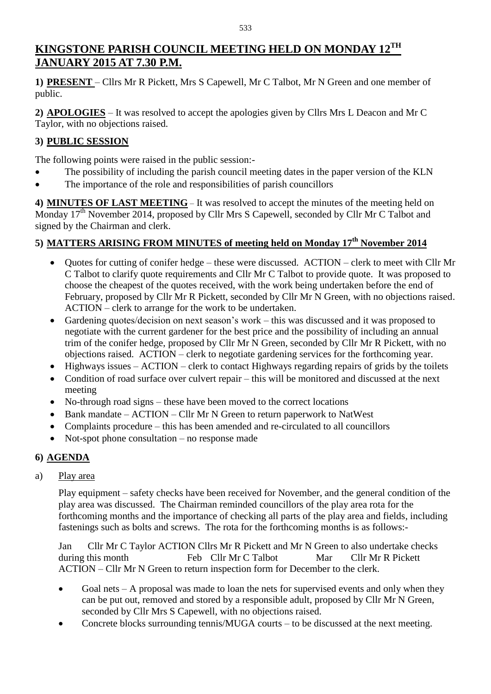# **KINGSTONE PARISH COUNCIL MEETING HELD ON MONDAY 12 TH JANUARY 2015 AT 7.30 P.M.**

**1) PRESENT** – Cllrs Mr R Pickett, Mrs S Capewell, Mr C Talbot, Mr N Green and one member of public.

**2) APOLOGIES** – It was resolved to accept the apologies given by Cllrs Mrs L Deacon and Mr C Taylor, with no objections raised.

## **3) PUBLIC SESSION**

The following points were raised in the public session:-

- The possibility of including the parish council meeting dates in the paper version of the KLN
- The importance of the role and responsibilities of parish councillors

**4) MINUTES OF LAST MEETING** – It was resolved to accept the minutes of the meeting held on Monday 17<sup>th</sup> November 2014, proposed by Cllr Mrs S Capewell, seconded by Cllr Mr C Talbot and signed by the Chairman and clerk.

# **5) MATTERS ARISING FROM MINUTES of meeting held on Monday 17 th November 2014**

- Quotes for cutting of conifer hedge these were discussed. ACTION clerk to meet with Cllr Mr C Talbot to clarify quote requirements and Cllr Mr C Talbot to provide quote. It was proposed to choose the cheapest of the quotes received, with the work being undertaken before the end of February, proposed by Cllr Mr R Pickett, seconded by Cllr Mr N Green, with no objections raised. ACTION – clerk to arrange for the work to be undertaken.
- Gardening quotes/decision on next season's work this was discussed and it was proposed to negotiate with the current gardener for the best price and the possibility of including an annual trim of the conifer hedge, proposed by Cllr Mr N Green, seconded by Cllr Mr R Pickett, with no objections raised. ACTION – clerk to negotiate gardening services for the forthcoming year.
- $\bullet$  Highways issues ACTION clerk to contact Highways regarding repairs of grids by the toilets
- Condition of road surface over culvert repair this will be monitored and discussed at the next meeting
- No-through road signs these have been moved to the correct locations
- Bank mandate ACTION Cllr Mr N Green to return paperwork to NatWest
- Complaints procedure this has been amended and re-circulated to all councillors
- Not-spot phone consultation no response made

# **6) AGENDA**

a) Play area

Play equipment – safety checks have been received for November, and the general condition of the play area was discussed. The Chairman reminded councillors of the play area rota for the forthcoming months and the importance of checking all parts of the play area and fields, including fastenings such as bolts and screws. The rota for the forthcoming months is as follows:-

Jan Cllr Mr C Taylor ACTION Cllrs Mr R Pickett and Mr N Green to also undertake checks during this month Feb Cllr Mr C Talbot Mar Cllr Mr R Pickett during this month Feb Cllr Mr C Talbot Mar ACTION – Cllr Mr N Green to return inspection form for December to the clerk.

- Goal nets A proposal was made to loan the nets for supervised events and only when they can be put out, removed and stored by a responsible adult, proposed by Cllr Mr N Green, seconded by Cllr Mrs S Capewell, with no objections raised.
- Concrete blocks surrounding tennis/MUGA courts to be discussed at the next meeting.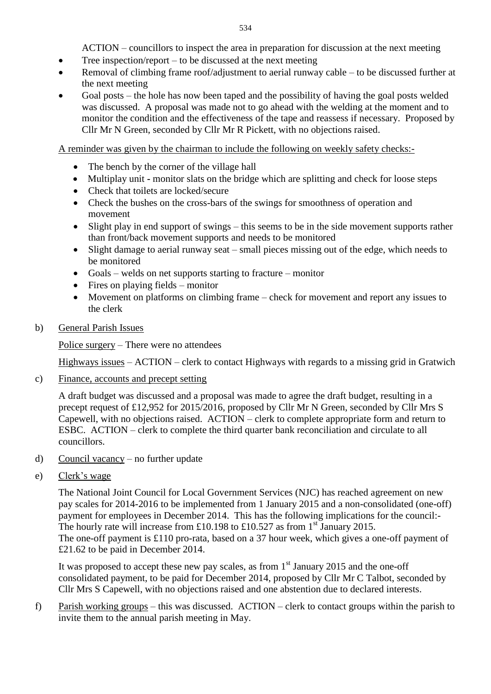ACTION – councillors to inspect the area in preparation for discussion at the next meeting

- $\bullet$  Tree inspection/report to be discussed at the next meeting
- Removal of climbing frame roof/adjustment to aerial runway cable to be discussed further at the next meeting
- Goal posts the hole has now been taped and the possibility of having the goal posts welded was discussed. A proposal was made not to go ahead with the welding at the moment and to monitor the condition and the effectiveness of the tape and reassess if necessary. Proposed by Cllr Mr N Green, seconded by Cllr Mr R Pickett, with no objections raised.

A reminder was given by the chairman to include the following on weekly safety checks:-

- The bench by the corner of the village hall
- Multiplay unit **-** monitor slats on the bridge which are splitting and check for loose steps
- Check that toilets are locked/secure
- Check the bushes on the cross-bars of the swings for smoothness of operation and movement
- Slight play in end support of swings this seems to be in the side movement supports rather than front/back movement supports and needs to be monitored
- Slight damage to aerial runway seat small pieces missing out of the edge, which needs to be monitored
- Goals welds on net supports starting to fracture monitor
- $\bullet$  Fires on playing fields monitor
- Movement on platforms on climbing frame check for movement and report any issues to the clerk
- b) General Parish Issues

Police surgery – There were no attendees

Highways issues – ACTION – clerk to contact Highways with regards to a missing grid in Gratwich

c) Finance, accounts and precept setting

A draft budget was discussed and a proposal was made to agree the draft budget, resulting in a precept request of £12,952 for 2015/2016, proposed by Cllr Mr N Green, seconded by Cllr Mrs S Capewell, with no objections raised. ACTION – clerk to complete appropriate form and return to ESBC. ACTION – clerk to complete the third quarter bank reconciliation and circulate to all councillors.

- d) Council vacancy no further update
- e) Clerk's wage

The National Joint Council for Local Government Services (NJC) has reached agreement on new pay scales for 2014-2016 to be implemented from 1 January 2015 and a non-consolidated (one-off) payment for employees in December 2014. This has the following implications for the council:- The hourly rate will increase from £10.198 to £10.527 as from  $1<sup>st</sup>$  January 2015. The one-off payment is £110 pro-rata, based on a 37 hour week, which gives a one-off payment of £21.62 to be paid in December 2014.

It was proposed to accept these new pay scales, as from  $1<sup>st</sup>$  January 2015 and the one-off consolidated payment, to be paid for December 2014, proposed by Cllr Mr C Talbot, seconded by Cllr Mrs S Capewell, with no objections raised and one abstention due to declared interests.

f) Parish working groups – this was discussed. ACTION – clerk to contact groups within the parish to invite them to the annual parish meeting in May.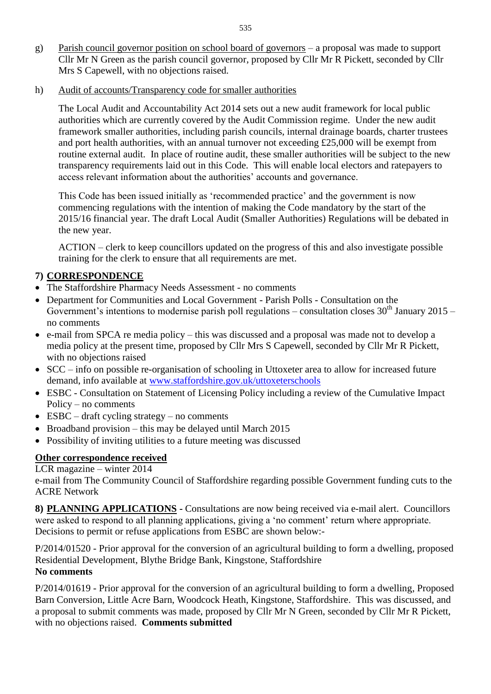- g) Parish council governor position on school board of governors a proposal was made to support Cllr Mr N Green as the parish council governor, proposed by Cllr Mr R Pickett, seconded by Cllr Mrs S Capewell, with no objections raised.
- h) Audit of accounts/Transparency code for smaller authorities

The Local Audit and Accountability Act 2014 sets out a new audit framework for local public authorities which are currently covered by the Audit Commission regime. Under the new audit framework smaller authorities, including parish councils, internal drainage boards, charter trustees and port health authorities, with an annual turnover not exceeding £25,000 will be exempt from routine external audit. In place of routine audit, these smaller authorities will be subject to the new transparency requirements laid out in this Code. This will enable local electors and ratepayers to access relevant information about the authorities' accounts and governance.

This Code has been issued initially as 'recommended practice' and the government is now commencing regulations with the intention of making the Code mandatory by the start of the 2015/16 financial year. The draft Local Audit (Smaller Authorities) Regulations will be debated in the new year.

ACTION – clerk to keep councillors updated on the progress of this and also investigate possible training for the clerk to ensure that all requirements are met.

### **7) CORRESPONDENCE**

- The Staffordshire Pharmacy Needs Assessment no comments
- Department for Communities and Local Government Parish Polls Consultation on the Government's intentions to modernise parish poll regulations – consultation closes  $30<sup>th</sup>$  January 2015 – no comments
- e-mail from SPCA re media policy this was discussed and a proposal was made not to develop a media policy at the present time, proposed by Cllr Mrs S Capewell, seconded by Cllr Mr R Pickett, with no objections raised
- SCC info on possible re-organisation of schooling in Uttoxeter area to allow for increased future demand, info available at [www.staffordshire.gov.uk/uttoxeterschools](http://www.staffordshire.gov.uk/uttoxeterschools)
- ESBC Consultation on Statement of Licensing Policy including a review of the Cumulative Impact Policy – no comments
- $\bullet$  ESBC draft cycling strategy no comments
- Broadband provision this may be delayed until March 2015
- Possibility of inviting utilities to a future meeting was discussed

### **Other correspondence received**

LCR magazine – winter 2014

e-mail from The Community Council of Staffordshire regarding possible Government funding cuts to the ACRE Network

**8) PLANNING APPLICATIONS -** Consultations are now being received via e-mail alert. Councillors were asked to respond to all planning applications, giving a 'no comment' return where appropriate. Decisions to permit or refuse applications from ESBC are shown below:-

P/2014/01520 - Prior approval for the conversion of an agricultural building to form a dwelling, proposed Residential Development, Blythe Bridge Bank, Kingstone, Staffordshire **No comments**

### P/2014/01619 - Prior approval for the conversion of an agricultural building to form a dwelling, Proposed Barn Conversion, Little Acre Barn, Woodcock Heath, Kingstone, Staffordshire. This was discussed, and a proposal to submit comments was made, proposed by Cllr Mr N Green, seconded by Cllr Mr R Pickett, with no objections raised. **Comments submitted**